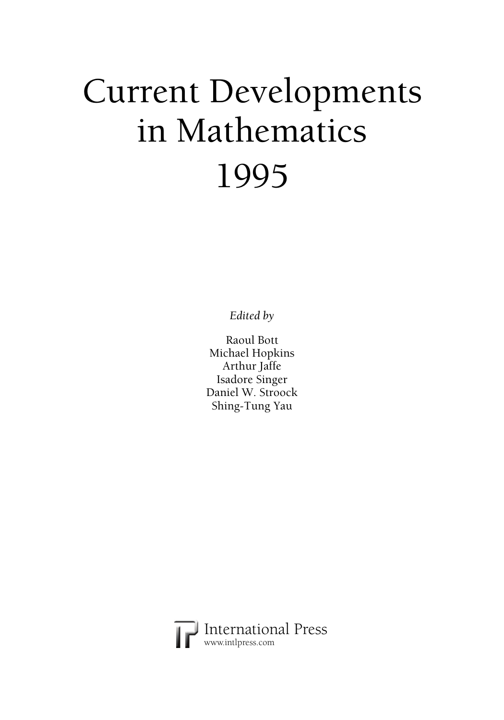## Current Developments in Mathematics 1995

*Edited by* 

Raoul Bott Michael Hopkins Arthur Jaffe Isadore Singer Daniel W. Stroock Shing-Tung Yau

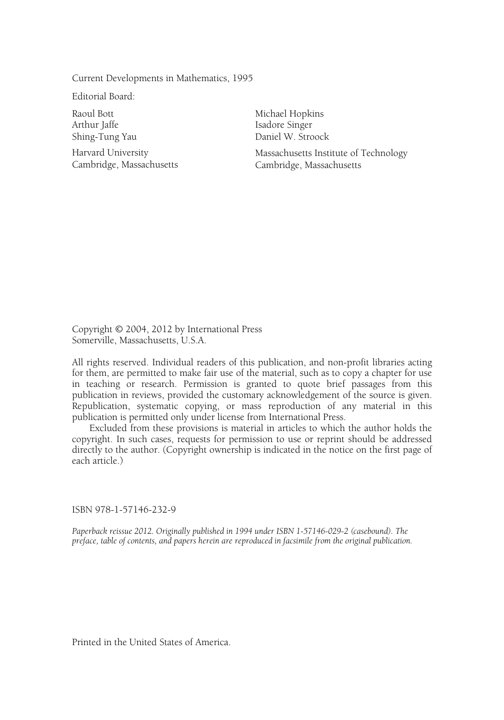Current Developments in Mathematics, 1995

Editorial Board:

Raoul Bott Arthur Jaffe Shing-Tung Yau

Harvard University Cambridge, Massachusetts Michael Hopkins Isadore Singer Daniel W. Stroock

Massachusetts Institute of Technology Cambridge, Massachusetts

Copyright © 2004, 2012 by International Press Somerville, Massachusetts, U.S.A.

All rights reserved. Individual readers of this publication, and non-profit libraries acting for them, are permitted to make fair use of the material, such as to copy a chapter for use in teaching or research. Permission is granted to quote brief passages from this publication in reviews, provided the customary acknowledgement of the source is given. Republication, systematic copying, or mass reproduction of any material in this publication is permitted only under license from International Press.

 Excluded from these provisions is material in articles to which the author holds the copyright. In such cases, requests for permission to use or reprint should be addressed directly to the author. (Copyright ownership is indicated in the notice on the first page of each article.)

ISBN 978-1-57146-232-9

*Paperback reissue 2012. Originally published in 1994 under ISBN 1-57146-029-2 (casebound). The preface, table of contents, and papers herein are reproduced in facsimile from the original publication.* 

Printed in the United States of America.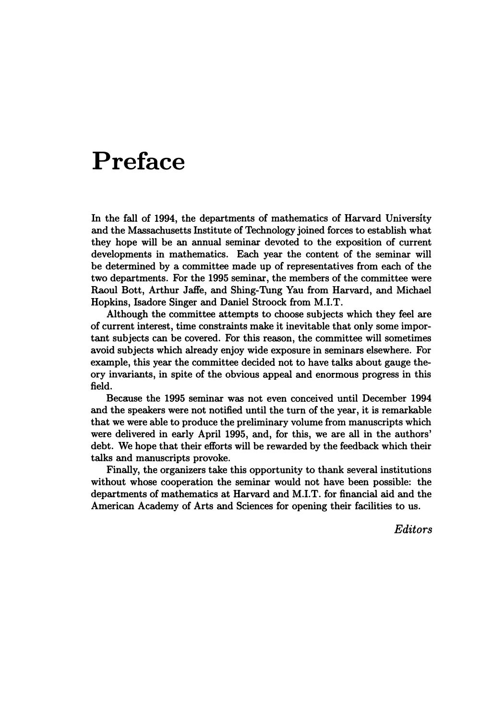## Preface

In the fall of 1994, the departments of mathematics of Harvard University and the Massachusetts Institute of Technology joined forces to establish what they hope will be an annual seminar devoted to the exposition of current developments in mathematics. Each year the content of the seminar will be determined by a committee made up of representatives from each of the two departments. For the 1995 seminar, the members of the committee were Raoul Bott, Arthur Jaffe, and Shing-Tung Yau from Harvard, and Michael Hopkins, Isadore Singer and Daniel Stroock from M.I.T.

Although the committee attempts to choose subjects which they feel are of current interest, time constraints make it inevitable that only some important subjects can be covered. For this reason, the committee will sometimes avoid subjects which already enjoy wide exposure in seminars elsewhere. For example, this year the committee decided not to have talks about gauge theory invariants, in spite of the obvious appeal and enormous progress in this field.

Because the 1995 seminar was not even conceived until December 1994 and the speakers were not notified until the turn of the year, it is remarkable that we were able to produce the preliminary volume from manuscripts which were delivered in early April 1995, and, for this, we are all in the authors' debt. We hope that their efforts will be rewarded by the feedback which their talks and manuscripts provoke.

Finally, the organizers take this opportunity to thank several institutions without whose cooperation the seminar would not have been possible: the departments of mathematics at Harvard and M.I.T. for financial aid and the American Academy of Arts and Sciences for opening their facilities to us.

 $E ditors$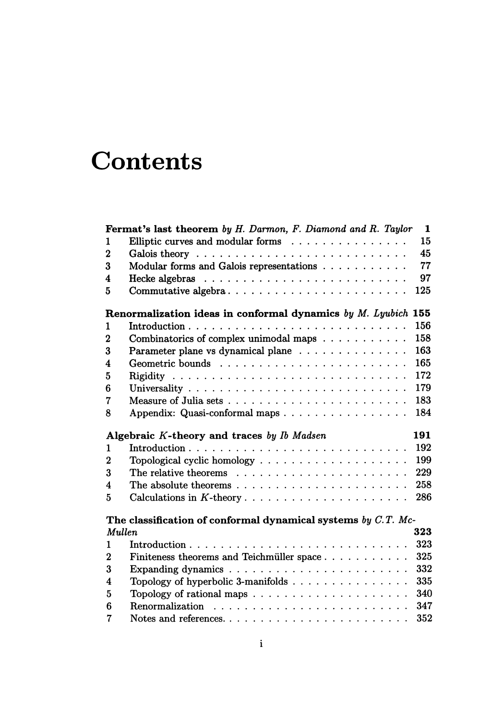## **Contents**

|                  | <b>Fermat's last theorem</b> by H. Darmon, F. Diamond and R. Taylor      | 1   |
|------------------|--------------------------------------------------------------------------|-----|
| $\mathbf{1}$     | Elliptic curves and modular forms $\ldots \ldots \ldots \ldots \ldots$   | 15  |
| $\boldsymbol{2}$ |                                                                          | 45  |
| 3                | Modular forms and Galois representations                                 | 77  |
| 4                |                                                                          | 97  |
| 5                | Commutative algebra                                                      | 125 |
|                  | Renormalization ideas in conformal dynamics by $M$ . Lyubich             | 155 |
| 1                |                                                                          | 156 |
| $\bf{2}$         | Combinatorics of complex unimodal maps                                   | 158 |
| 3                | Parameter plane vs dynamical plane                                       | 163 |
| 4                |                                                                          | 165 |
| 5                |                                                                          | 172 |
| 6                |                                                                          | 179 |
| $\overline{7}$   |                                                                          | 183 |
| 8                | Appendix: Quasi-conformal maps                                           | 184 |
|                  |                                                                          |     |
|                  | Algebraic K-theory and traces by Ib Madsen                               | 191 |
| 1.               |                                                                          | 192 |
| $\overline{2}$   |                                                                          | 199 |
| 3                | The relative theorems $\ldots \ldots \ldots \ldots \ldots \ldots \ldots$ | 229 |
| 4                |                                                                          | 258 |
| 5                |                                                                          | 286 |
|                  | The classification of conformal dynamical systems by $C.T.$ Mc-          |     |
| Mullen           |                                                                          | 323 |
| 1                |                                                                          | 323 |
| $\overline{2}$   | Finiteness theorems and Teichmüller space                                | 325 |
| 3                |                                                                          | 332 |
| 4                | Topology of hyperbolic 3-manifolds                                       | 335 |
| 5                | Topology of rational maps $\ldots \ldots \ldots \ldots \ldots \ldots$    | 340 |
| 6                |                                                                          | 352 |